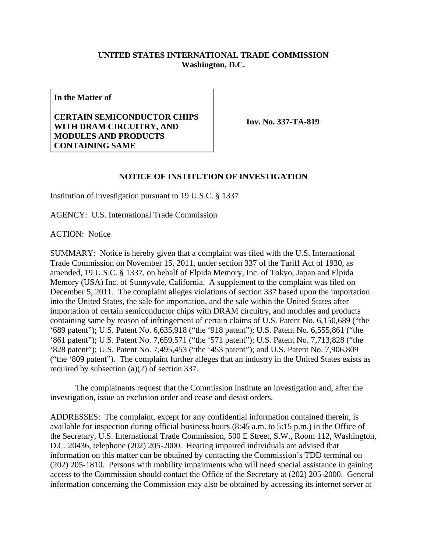## **UNITED STATES INTERNATIONAL TRADE COMMISSION Washington, D.C.**

**In the Matter of** 

## **CERTAIN SEMICONDUCTOR CHIPS WITH DRAM CIRCUITRY, AND MODULES AND PRODUCTS CONTAINING SAME**

**Inv. No. 337-TA-819**

## **NOTICE OF INSTITUTION OF INVESTIGATION**

Institution of investigation pursuant to 19 U.S.C. § 1337

AGENCY: U.S. International Trade Commission

ACTION: Notice

SUMMARY: Notice is hereby given that a complaint was filed with the U.S. International Trade Commission on November 15, 2011, under section 337 of the Tariff Act of 1930, as amended, 19 U.S.C. § 1337, on behalf of Elpida Memory, Inc. of Tokyo, Japan and Elpida Memory (USA) Inc. of Sunnyvale, California. A supplement to the complaint was filed on December 5, 2011. The complaint alleges violations of section 337 based upon the importation into the United States, the sale for importation, and the sale within the United States after importation of certain semiconductor chips with DRAM circuitry, and modules and products containing same by reason of infringement of certain claims of U.S. Patent No. 6,150,689 ("the '689 patent"); U.S. Patent No. 6,635,918 ("the '918 patent"); U.S. Patent No. 6,555,861 ("the '861 patent"); U.S. Patent No. 7,659,571 ("the '571 patent"); U.S. Patent No. 7,713,828 ("the '828 patent"); U.S. Patent No. 7,495,453 ("the '453 patent"); and U.S. Patent No. 7,906,809 ("the '809 patent"). The complaint further alleges that an industry in the United States exists as required by subsection (a)(2) of section 337.

 The complainants request that the Commission institute an investigation and, after the investigation, issue an exclusion order and cease and desist orders.

ADDRESSES: The complaint, except for any confidential information contained therein, is available for inspection during official business hours (8:45 a.m. to 5:15 p.m.) in the Office of the Secretary, U.S. International Trade Commission, 500 E Street, S.W., Room 112, Washington, D.C. 20436, telephone (202) 205-2000. Hearing impaired individuals are advised that information on this matter can be obtained by contacting the Commission's TDD terminal on (202) 205-1810. Persons with mobility impairments who will need special assistance in gaining access to the Commission should contact the Office of the Secretary at (202) 205-2000. General information concerning the Commission may also be obtained by accessing its internet server at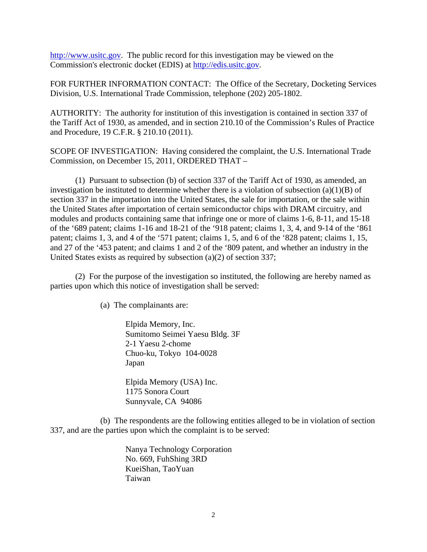http://www.usitc.gov. The public record for this investigation may be viewed on the Commission's electronic docket (EDIS) at http://edis.usitc.gov.

FOR FURTHER INFORMATION CONTACT: The Office of the Secretary, Docketing Services Division, U.S. International Trade Commission, telephone (202) 205-1802.

AUTHORITY: The authority for institution of this investigation is contained in section 337 of the Tariff Act of 1930, as amended, and in section 210.10 of the Commission's Rules of Practice and Procedure, 19 C.F.R. § 210.10 (2011).

SCOPE OF INVESTIGATION: Having considered the complaint, the U.S. International Trade Commission, on December 15, 2011, ORDERED THAT –

 (1) Pursuant to subsection (b) of section 337 of the Tariff Act of 1930, as amended, an investigation be instituted to determine whether there is a violation of subsection  $(a)(1)(B)$  of section 337 in the importation into the United States, the sale for importation, or the sale within the United States after importation of certain semiconductor chips with DRAM circuitry, and modules and products containing same that infringe one or more of claims 1-6, 8-11, and 15-18 of the '689 patent; claims 1-16 and 18-21 of the '918 patent; claims 1, 3, 4, and 9-14 of the '861 patent; claims 1, 3, and 4 of the '571 patent; claims 1, 5, and 6 of the '828 patent; claims 1, 15, and 27 of the '453 patent; and claims 1 and 2 of the '809 patent, and whether an industry in the United States exists as required by subsection (a)(2) of section 337;

 (2) For the purpose of the investigation so instituted, the following are hereby named as parties upon which this notice of investigation shall be served:

(a) The complainants are:

 Elpida Memory, Inc. Sumitomo Seimei Yaesu Bldg. 3F 2-1 Yaesu 2-chome Chuo-ku, Tokyo 104-0028 Japan

 Elpida Memory (USA) Inc. 1175 Sonora Court Sunnyvale, CA 94086

 (b) The respondents are the following entities alleged to be in violation of section 337, and are the parties upon which the complaint is to be served:

> Nanya Technology Corporation No. 669, FuhShing 3RD KueiShan, TaoYuan Taiwan